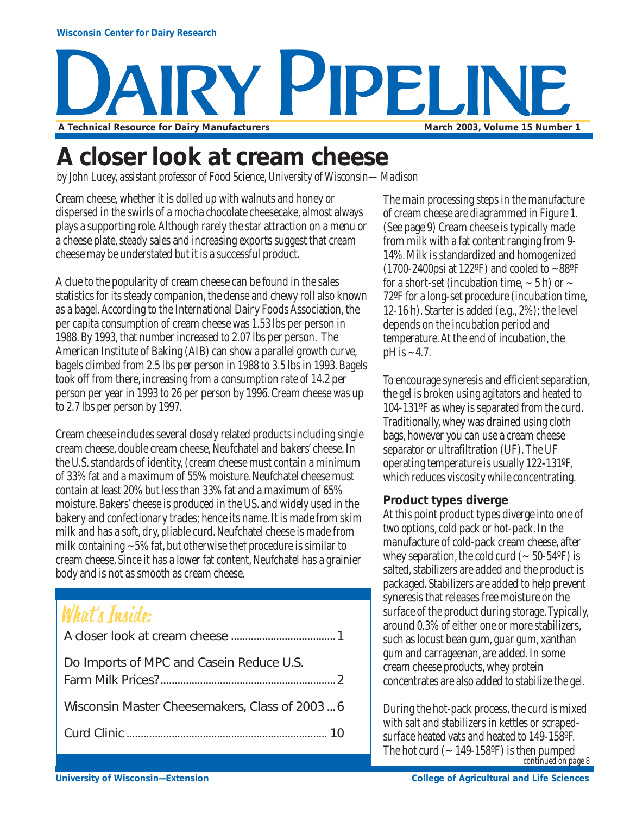# Y PIPELIN A Technical Resource for Dairy Manufacturers **March 2003, Volume 15 Number 1**

### **A closer look at cream cheese**

*by John Lucey, assistant professor of Food Science, University of Wisconsin—Madison*

Cream cheese, whether it is dolled up with walnuts and honey or dispersed in the swirls of a mocha chocolate cheesecake, almost always plays a supporting role. Although rarely the star attraction on a menu or a cheese plate, steady sales and increasing exports suggest that cream cheese may be understated but it is a successful product.

A clue to the popularity of cream cheese can be found in the sales statistics for its steady companion, the dense and chewy roll also known as a bagel. According to the International Dairy Foods Association, the per capita consumption of cream cheese was 1.53 lbs per person in 1988. By 1993, that number increased to 2.07 lbs per person. The American Institute of Baking (AIB) can show a parallel growth curve, bagels climbed from 2.5 lbs per person in 1988 to 3.5 lbs in 1993. Bagels took off from there, increasing from a consumption rate of 14.2 per person per year in 1993 to 26 per person by 1996. Cream cheese was up to 2.7 lbs per person by 1997.

Cream cheese includes several closely related products including single cream cheese, double cream cheese, Neufchatel and bakers' cheese. In the U.S. standards of identity, (cream cheese must contain a minimum of 33% fat and a maximum of 55% moisture. Neufchatel cheese must contain at least 20% but less than 33% fat and a maximum of 65% moisture. Bakers' cheese is produced in the US. and widely used in the bakery and confectionary trades; hence its name. It is made from skim milk and has a soft, dry, pliable curd. Neufchatel cheese is made from milk containing  $\sim$  5% fat, but otherwise the†procedure is similar to cream cheese. Since it has a lower fat content, Neufchatel has a grainier body and is not as smooth as cream cheese.

### What's Inside:

| Do Imports of MPC and Casein Reduce U.S.       |
|------------------------------------------------|
| Wisconsin Master Cheesemakers, Class of 2003 6 |
|                                                |
|                                                |

The main processing steps in the manufacture of cream cheese are diagrammed in Figure 1. (See page 9) Cream cheese is typically made from milk with a fat content ranging from 9- 14%. Milk is standardized and homogenized (1700-2400psi at 122°F) and cooled to  $\sim88$ °F for a short-set (incubation time,  $\sim$  5 h) or  $\sim$ 72ºF for a long-set procedure (incubation time, 12-16 h). Starter is added (e.g., 2%); the level depends on the incubation period and temperature. At the end of incubation, the  $pH$  is  $\sim$  4.7.

To encourage syneresis and efficient separation, the gel is broken using agitators and heated to 104-131ºF as whey is separated from the curd. Traditionally, whey was drained using cloth bags, however you can use a cream cheese separator or ultrafiltration (UF). The UF operating temperature is usually 122-131ºF, which reduces viscosity while concentrating.

#### **Product types diverge**

At this point product types diverge into one of two options, cold pack or hot-pack. In the manufacture of cold-pack cream cheese, after whey separation, the cold curd ( $\sim$  50-54°F) is salted, stabilizers are added and the product is packaged. Stabilizers are added to help prevent syneresis that releases free moisture on the surface of the product during storage. Typically, around 0.3% of either one or more stabilizers, such as locust bean gum, guar gum, xanthan gum and carrageenan, are added. In some cream cheese products, whey protein concentrates are also added to stabilize the gel.

*continued on page 8* During the hot-pack process, the curd is mixed with salt and stabilizers in kettles or scrapedsurface heated vats and heated to 149-158ºF. The hot curd  $({\sim}149\t{-}158^{\circ}F)$  is then pumped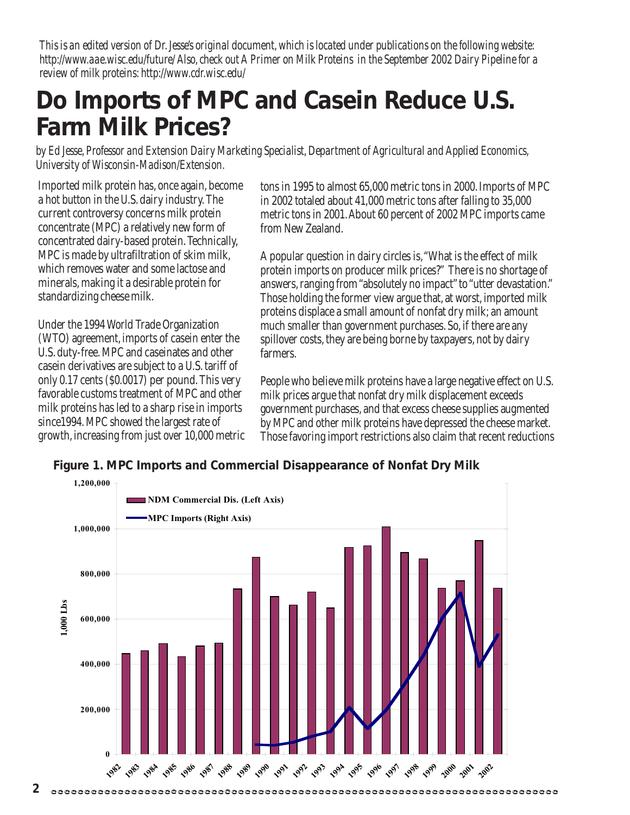*This is an edited version of Dr. Jesse's original document, which is located under publications on the following website: http://www.aae.wisc.edu/future/ Also, check out A Primer on Milk Proteins in the September 2002 Dairy Pipeline for a review of milk proteins: http://www.cdr.wisc.edu/*

### **Do Imports of MPC and Casein Reduce U.S. Farm Milk Prices?**

*by Ed Jesse, Professor and Extension Dairy Marketing Specialist, Department of Agricultural and Applied Economics, University of Wisconsin-Madison/Extension.*

Imported milk protein has, once again, become a hot button in the U.S. dairy industry. The current controversy concerns milk protein concentrate (MPC) a relatively new form of concentrated dairy-based protein. Technically, MPC is made by ultrafiltration of skim milk, which removes water and some lactose and minerals, making it a desirable protein for standardizing cheese milk.

Under the 1994 World Trade Organization (WTO) agreement, imports of casein enter the U.S. duty-free. MPC and caseinates and other casein derivatives are subject to a U.S. tariff of only 0.17 cents (\$0.0017) per pound. This very favorable customs treatment of MPC and other milk proteins has led to a sharp rise in imports since1994. MPC showed the largest rate of growth, increasing from just over 10,000 metric tons in 1995 to almost 65,000 metric tons in 2000. Imports of MPC in 2002 totaled about 41,000 metric tons after falling to 35,000 metric tons in 2001. About 60 percent of 2002 MPC imports came from New Zealand.

A popular question in dairy circles is, "What is the effect of milk protein imports on producer milk prices?" There is no shortage of answers, ranging from "absolutely no impact" to "utter devastation." Those holding the former view argue that, at worst, imported milk proteins displace a small amount of nonfat dry milk; an amount much smaller than government purchases. So, if there are any spillover costs, they are being borne by taxpayers, not by dairy farmers.

People who believe milk proteins have a large negative effect on U.S. milk prices argue that nonfat dry milk displacement exceeds government purchases, and that excess cheese supplies augmented by MPC and other milk proteins have depressed the cheese market. Those favoring import restrictions also claim that recent reductions

**Figure 1. MPC Imports and Commercial Disappearance of Nonfat Dry Milk**

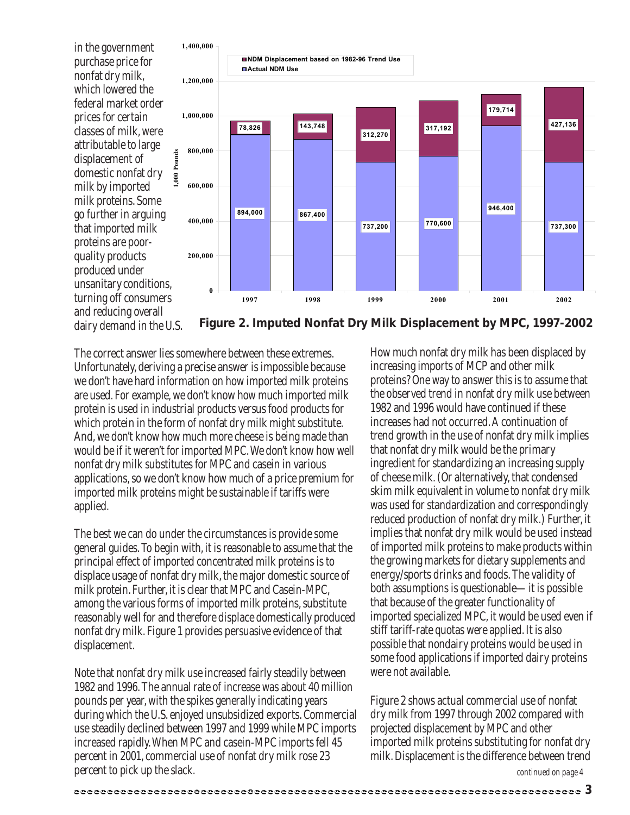in the government purchase price for nonfat dry milk, which lowered the federal market order prices for certain classes of milk, were attributable to large displacement of domestic nonfat dry milk by imported milk proteins. Some go further in arguing that imported milk proteins are poorquality products produced under unsanitary conditions, turning off consumers and reducing overall dairy demand in the U.S.



**Figure 2. Imputed Nonfat Dry Milk Displacement by MPC, 1997-2002**

The correct answer lies somewhere between these extremes. Unfortunately, deriving a precise answer is impossible because we don't have hard information on how imported milk proteins are used. For example, we don't know how much imported milk protein is used in industrial products versus food products for which protein in the form of nonfat dry milk might substitute. And, we don't know how much more cheese is being made than would be if it weren't for imported MPC. We don't know how well nonfat dry milk substitutes for MPC and casein in various applications, so we don't know how much of a price premium for imported milk proteins might be sustainable if tariffs were applied.

The best we can do under the circumstances is provide some general guides. To begin with, it is reasonable to assume that the principal effect of imported concentrated milk proteins is to displace usage of nonfat dry milk, the major domestic source of milk protein. Further, it is clear that MPC and Casein-MPC, among the various forms of imported milk proteins, substitute reasonably well for and therefore displace domestically produced nonfat dry milk. Figure 1 provides persuasive evidence of that displacement.

Note that nonfat dry milk use increased fairly steadily between 1982 and 1996. The annual rate of increase was about 40 million pounds per year, with the spikes generally indicating years during which the U.S. enjoyed unsubsidized exports. Commercial use steadily declined between 1997 and 1999 while MPC imports increased rapidly. When MPC and casein-MPC imports fell 45 percent in 2001, commercial use of nonfat dry milk rose 23 percent to pick up the slack.

How much nonfat dry milk has been displaced by increasing imports of MCP and other milk proteins? One way to answer this is to assume that the observed trend in nonfat dry milk use between 1982 and 1996 would have continued if these increases had not occurred. A continuation of trend growth in the use of nonfat dry milk implies that nonfat dry milk would be the primary ingredient for standardizing an increasing supply of cheese milk. (Or alternatively, that condensed skim milk equivalent in volume to nonfat dry milk was used for standardization and correspondingly reduced production of nonfat dry milk.) Further, it implies that nonfat dry milk would be used instead of imported milk proteins to make products within the growing markets for dietary supplements and energy/sports drinks and foods. The validity of both assumptions is questionable—it is possible that because of the greater functionality of imported specialized MPC, it would be used even if stiff tariff-rate quotas were applied. It is also possible that nondairy proteins would be used in some food applications if imported dairy proteins were not available.

Figure 2 shows actual commercial use of nonfat dry milk from 1997 through 2002 compared with projected displacement by MPC and other imported milk proteins substituting for nonfat dry milk. Displacement is the difference between trend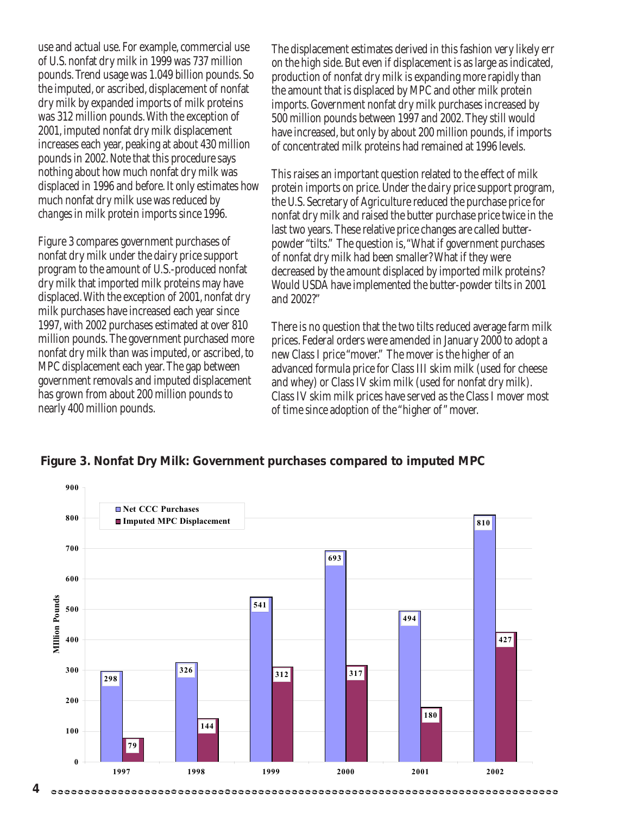use and actual use. For example, commercial use of U.S. nonfat dry milk in 1999 was 737 million pounds. Trend usage was 1.049 billion pounds. So the imputed, or ascribed, displacement of nonfat dry milk by expanded imports of milk proteins was 312 million pounds. With the exception of 2001, imputed nonfat dry milk displacement increases each year, peaking at about 430 million pounds in 2002. Note that this procedure says nothing about how much nonfat dry milk was displaced in 1996 and before. It only estimates how much nonfat dry milk use was reduced by *changes* in milk protein imports since 1996.

Figure 3 compares government purchases of nonfat dry milk under the dairy price support program to the amount of U.S.-produced nonfat dry milk that imported milk proteins may have displaced. With the exception of 2001, nonfat dry milk purchases have increased each year since 1997, with 2002 purchases estimated at over 810 million pounds. The government purchased more nonfat dry milk than was imputed, or ascribed, to MPC displacement each year. The gap between government removals and imputed displacement has grown from about 200 million pounds to nearly 400 million pounds.

The displacement estimates derived in this fashion very likely err on the high side. But even if displacement is as large as indicated, production of nonfat dry milk is expanding more rapidly than the amount that is displaced by MPC and other milk protein imports. Government nonfat dry milk purchases increased by 500 million pounds between 1997 and 2002. They still would have increased, but only by about 200 million pounds, if imports of concentrated milk proteins had remained at 1996 levels.

This raises an important question related to the effect of milk protein imports on price. Under the dairy price support program, the U.S. Secretary of Agriculture reduced the purchase price for nonfat dry milk and raised the butter purchase price twice in the last two years. These relative price changes are called butterpowder "tilts." The question is, "What if government purchases of nonfat dry milk had been smaller? What if they were decreased by the amount displaced by imported milk proteins? Would USDA have implemented the butter-powder tilts in 2001 and 2002?"

There is no question that the two tilts reduced average farm milk prices. Federal orders were amended in January 2000 to adopt a new Class I price "mover." The mover is the higher of an advanced formula price for Class III skim milk (used for cheese and whey) or Class IV skim milk (used for nonfat dry milk). Class IV skim milk prices have served as the Class I mover most of time since adoption of the "higher of " mover.

#### **Figure 3. Nonfat Dry Milk: Government purchases compared to imputed MPC**

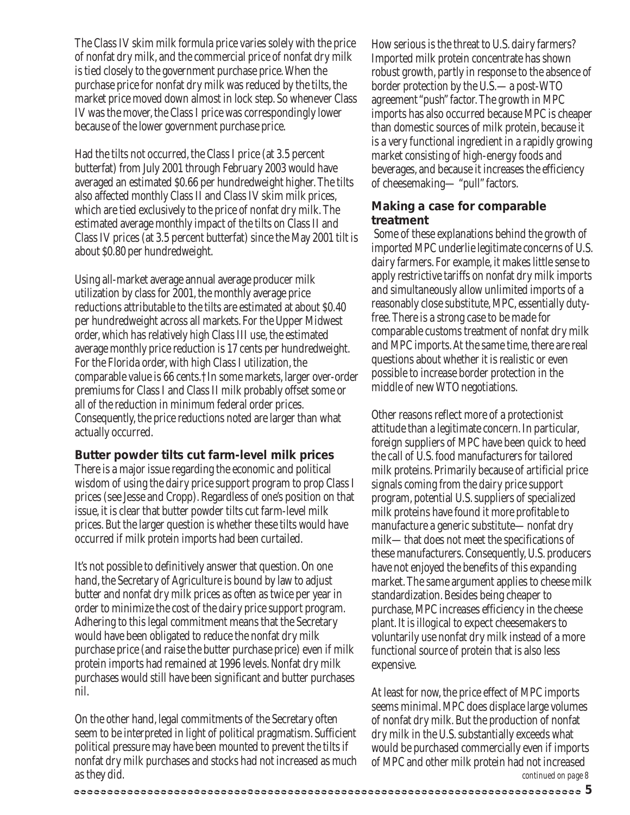The Class IV skim milk formula price varies solely with the price of nonfat dry milk, and the commercial price of nonfat dry milk is tied closely to the government purchase price. When the purchase price for nonfat dry milk was reduced by the tilts, the market price moved down almost in lock step. So whenever Class IV was the mover, the Class I price was correspondingly lower because of the lower government purchase price.

Had the tilts not occurred, the Class I price (at 3.5 percent butterfat) from July 2001 through February 2003 would have averaged an estimated \$0.66 per hundredweight higher. The tilts also affected monthly Class II and Class IV skim milk prices, which are tied exclusively to the price of nonfat dry milk. The estimated average monthly impact of the tilts on Class II and Class IV prices (at 3.5 percent butterfat) since the May 2001 tilt is about \$0.80 per hundredweight.

Using all-market average annual average producer milk utilization by class for 2001, the monthly average price reductions attributable to the tilts are estimated at about \$0.40 per hundredweight across all markets. For the Upper Midwest order, which has relatively high Class III use, the estimated average monthly price reduction is 17 cents per hundredweight. For the Florida order, with high Class I utilization, the comparable value is 66 cents.†In some markets, larger over-order premiums for Class I and Class II milk probably offset some or all of the reduction in minimum federal order prices. Consequently, the price reductions noted are larger than what actually occurred.

#### **Butter powder tilts cut farm-level milk prices**

There is a major issue regarding the economic and political wisdom of using the dairy price support program to prop Class I prices (see Jesse and Cropp). Regardless of one's position on that issue, it is clear that butter powder tilts cut farm-level milk prices. But the larger question is whether these tilts would have occurred if milk protein imports had been curtailed.

It's not possible to definitively answer that question. On one hand, the Secretary of Agriculture is bound by law to adjust butter and nonfat dry milk prices as often as twice per year in order to minimize the cost of the dairy price support program. Adhering to this legal commitment means that the Secretary would have been obligated to reduce the nonfat dry milk purchase price (and raise the butter purchase price) even if milk protein imports had remained at 1996 levels. Nonfat dry milk purchases would still have been significant and butter purchases nil.

On the other hand, legal commitments of the Secretary often seem to be interpreted in light of political pragmatism. Sufficient political pressure may have been mounted to prevent the tilts if nonfat dry milk purchases and stocks had not increased as much as they did.

How serious is the threat to U.S. dairy farmers? Imported milk protein concentrate has shown robust growth, partly in response to the absence of border protection by the U.S.—a post-WTO agreement "push" factor. The growth in MPC imports has also occurred because MPC is cheaper than domestic sources of milk protein, because it is a very functional ingredient in a rapidly growing market consisting of high-energy foods and beverages, and because it increases the efficiency of cheesemaking— "pull" factors.

#### **Making a case for comparable treatment**

 Some of these explanations behind the growth of imported MPC underlie legitimate concerns of U.S. dairy farmers. For example, it makes little sense to apply restrictive tariffs on nonfat dry milk imports and simultaneously allow unlimited imports of a reasonably close substitute, MPC, essentially dutyfree. There is a strong case to be made for comparable customs treatment of nonfat dry milk and MPC imports. At the same time, there are real questions about whether it is realistic or even possible to increase border protection in the middle of new WTO negotiations.

Other reasons reflect more of a protectionist attitude than a legitimate concern. In particular, foreign suppliers of MPC have been quick to heed the call of U.S. food manufacturers for tailored milk proteins. Primarily because of artificial price signals coming from the dairy price support program, potential U.S. suppliers of specialized milk proteins have found it more profitable to manufacture a generic substitute—nonfat dry milk—that does not meet the specifications of these manufacturers. Consequently, U.S. producers have not enjoyed the benefits of this expanding market. The same argument applies to cheese milk standardization. Besides being cheaper to purchase, MPC increases efficiency in the cheese plant. It is illogical to expect cheesemakers to voluntarily use nonfat dry milk instead of a more functional source of protein that is also less expensive.

At least for now, the price effect of MPC imports seems minimal. MPC does displace large volumes of nonfat dry milk. But the production of nonfat dry milk in the U.S. substantially exceeds what would be purchased commercially even if imports of MPC and other milk protein had not increased *continued on page 8*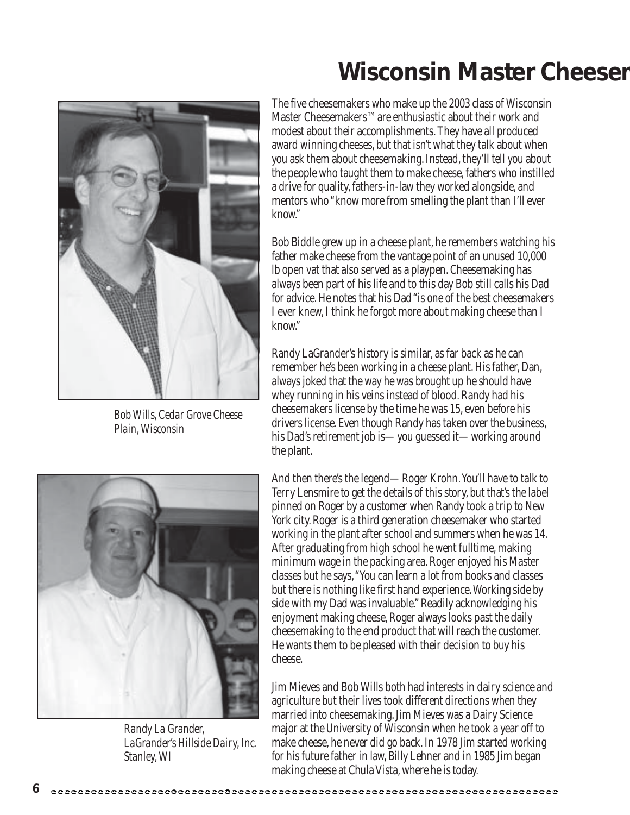

*Bob Wills, Cedar Grove Cheese Plain, Wisconsin*



*Randy La Grander, LaGrander's Hillside Dairy, Inc. Stanley, WI*

### **Wisconsin Master Cheesem**

The five cheesemakers who make up the 2003 class of Wisconsin Master Cheesemakers™ are enthusiastic about their work and modest about their accomplishments. They have all produced award winning cheeses, but that isn't what they talk about when you ask them about cheesemaking. Instead, they'll tell you about the people who taught them to make cheese, fathers who instilled a drive for quality, fathers-in-law they worked alongside, and mentors who "know more from smelling the plant than I'll ever know."

Bob Biddle grew up in a cheese plant, he remembers watching his father make cheese from the vantage point of an unused 10,000 lb open vat that also served as a playpen. Cheesemaking has always been part of his life and to this day Bob still calls his Dad for advice. He notes that his Dad "is one of the best cheesemakers I ever knew, I think he forgot more about making cheese than I know."

Randy LaGrander's history is similar, as far back as he can remember he's been working in a cheese plant. His father, Dan, always joked that the way he was brought up he should have whey running in his veins instead of blood. Randy had his cheesemakers license by the time he was 15, even before his drivers license. Even though Randy has taken over the business, his Dad's retirement job is—you guessed it—working around the plant.

And then there's the legend—Roger Krohn. You'll have to talk to Terry Lensmire to get the details of this story, but that's the label pinned on Roger by a customer when Randy took a trip to New York city. Roger is a third generation cheesemaker who started working in the plant after school and summers when he was 14. After graduating from high school he went fulltime, making minimum wage in the packing area. Roger enjoyed his Master classes but he says, "You can learn a lot from books and classes but there is nothing like first hand experience. Working side by side with my Dad was invaluable." Readily acknowledging his enjoyment making cheese, Roger always looks past the daily cheesemaking to the end product that will reach the customer. He wants them to be pleased with their decision to buy his cheese.

Jim Mieves and Bob Wills both had interests in dairy science and agriculture but their lives took different directions when they married into cheesemaking. Jim Mieves was a Dairy Science major at the University of Wisconsin when he took a year off to make cheese, he never did go back. In 1978 Jim started working for his future father in law, Billy Lehner and in 1985 Jim began making cheese at Chula Vista, where he is today.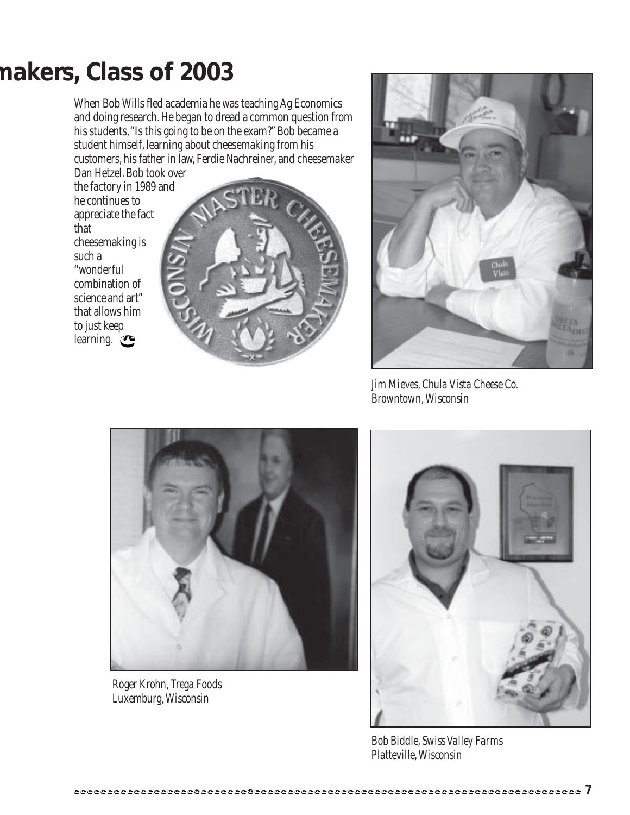### **makers, Class of 2003**

When Bob Wills fled academia he was teaching Ag Economics and doing research. He began to dread a common question from his students, "Is this going to be on the exam?" Bob became a student himself, learning about cheesemaking from his customers, his father in law, Ferdie Nachreiner, and cheesemaker

Dan Hetzel. Bob took over the factory in 1989 and he continues to appreciate the fact that cheesemaking is such a "wonderful combination of science and art" that allows him to just keep learning.





*Jim Mieves, Chula Vista Cheese Co. Browntown, Wisconsin*



*Roger Krohn, Trega Foods Luxemburg, Wisconsin*



*Bob Biddle, Swiss Valley Farms Platteville,Wisconsin*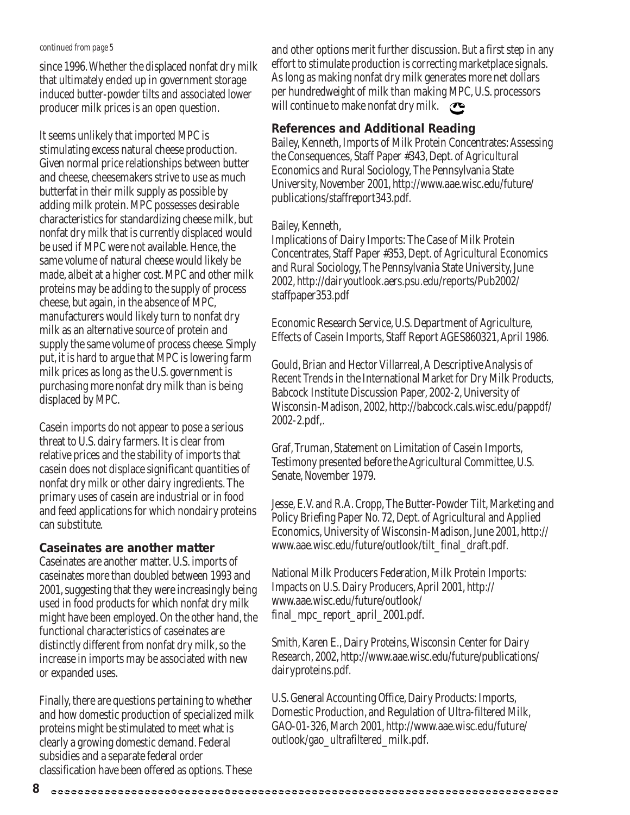#### *continued from page 5*

since 1996. Whether the displaced nonfat dry milk that ultimately ended up in government storage induced butter-powder tilts and associated lower producer milk prices is an open question.

It seems unlikely that imported MPC is stimulating excess natural cheese production. Given normal price relationships between butter and cheese, cheesemakers strive to use as much butterfat in their milk supply as possible by adding milk protein. MPC possesses desirable characteristics for standardizing cheese milk, but nonfat dry milk that is currently displaced would be used if MPC were not available. Hence, the same volume of natural cheese would likely be made, albeit at a higher cost. MPC and other milk proteins may be adding to the supply of process cheese, but again, in the absence of MPC, manufacturers would likely turn to nonfat dry milk as an alternative source of protein and supply the same volume of process cheese. Simply put, it is hard to argue that MPC is lowering farm milk prices as long as the U.S. government is purchasing more nonfat dry milk than is being displaced by MPC.

Casein imports do not appear to pose a serious threat to U.S. dairy farmers. It is clear from relative prices and the stability of imports that casein does not displace significant quantities of nonfat dry milk or other dairy ingredients. The primary uses of casein are industrial or in food and feed applications for which nondairy proteins can substitute.

#### **Caseinates are another matter**

Caseinates are another matter. U.S. imports of caseinates more than doubled between 1993 and 2001, suggesting that they were increasingly being used in food products for which nonfat dry milk might have been employed. On the other hand, the functional characteristics of caseinates are distinctly different from nonfat dry milk, so the increase in imports may be associated with new or expanded uses.

Finally, there are questions pertaining to whether and how domestic production of specialized milk proteins might be stimulated to meet what is clearly a growing domestic demand. Federal subsidies and a separate federal order classification have been offered as options. These

and other options merit further discussion. But a first step in any effort to stimulate production is correcting marketplace signals. As long as making nonfat dry milk generates more net dollars per hundredweight of milk than making MPC, U.S. processors will continue to make nonfat dry milk.  $\bullet$ 

#### **References and Additional Reading**

Bailey, Kenneth, Imports of Milk Protein Concentrates: Assessing the Consequences, Staff Paper #343, Dept. of Agricultural Economics and Rural Sociology, The Pennsylvania State University, November 2001, http://www.aae.wisc.edu/future/ publications/staffreport343.pdf.

#### Bailey, Kenneth,

Implications of Dairy Imports: The Case of Milk Protein Concentrates, Staff Paper #353, Dept. of Agricultural Economics and Rural Sociology, The Pennsylvania State University, June 2002, http://dairyoutlook.aers.psu.edu/reports/Pub2002/ staffpaper353.pdf

Economic Research Service, U.S. Department of Agriculture, Effects of Casein Imports, Staff Report AGES860321, April 1986.

Gould, Brian and Hector Villarreal, A Descriptive Analysis of Recent Trends in the International Market for Dry Milk Products, Babcock Institute Discussion Paper, 2002-2, University of Wisconsin-Madison, 2002, http://babcock.cals.wisc.edu/pappdf/ 2002-2.pdf,.

Graf, Truman, Statement on Limitation of Casein Imports, Testimony presented before the Agricultural Committee, U.S. Senate, November 1979.

Jesse, E.V. and R.A. Cropp, The Butter-Powder Tilt, Marketing and Policy Briefing Paper No. 72, Dept. of Agricultural and Applied Economics, University of Wisconsin-Madison, June 2001, http:// www.aae.wisc.edu/future/outlook/tilt\_final\_draft.pdf.

National Milk Producers Federation, Milk Protein Imports: Impacts on U.S. Dairy Producers, April 2001, http:// www.aae.wisc.edu/future/outlook/ final\_mpc\_report\_april\_2001.pdf.

Smith, Karen E., Dairy Proteins, Wisconsin Center for Dairy Research, 2002, http://www.aae.wisc.edu/future/publications/ dairyproteins.pdf.

U.S. General Accounting Office, Dairy Products: Imports, Domestic Production, and Regulation of Ultra-filtered Milk, GAO-01-326, March 2001, http://www.aae.wisc.edu/future/ outlook/gao\_ultrafiltered\_milk.pdf.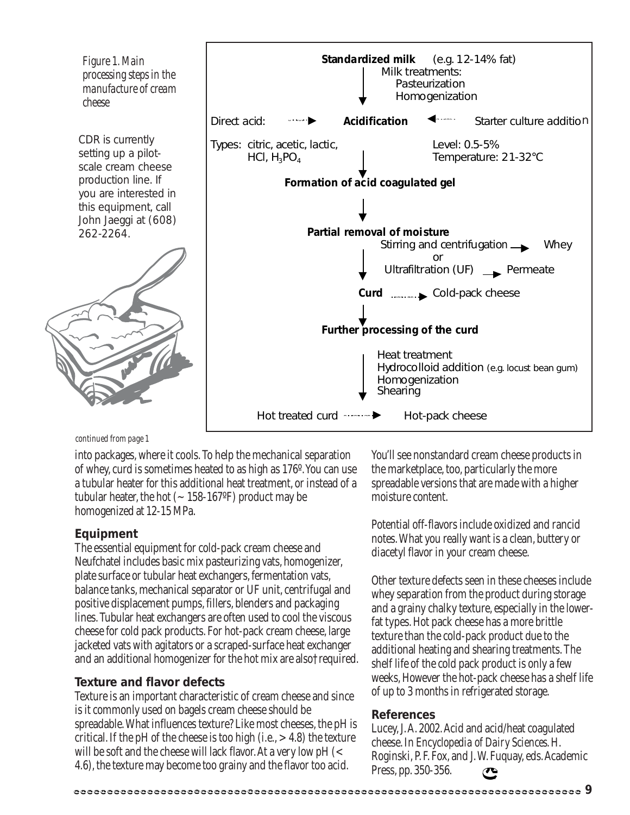

*continued from page 1*

into packages, where it cools. To help the mechanical separation of whey, curd is sometimes heated to as high as 176º. You can use a tubular heater for this additional heat treatment, or instead of a tubular heater, the hot  $(-158-167)$  product may be homogenized at 12-15 MPa.

#### **Equipment**

The essential equipment for cold-pack cream cheese and Neufchatel includes basic mix pasteurizing vats, homogenizer, plate surface or tubular heat exchangers, fermentation vats, balance tanks, mechanical separator or UF unit, centrifugal and positive displacement pumps, fillers, blenders and packaging lines. Tubular heat exchangers are often used to cool the viscous cheese for cold pack products. For hot-pack cream cheese, large jacketed vats with agitators or a scraped-surface heat exchanger and an additional homogenizer for the hot mix are also†required.

#### **Texture and flavor defects**

Texture is an important characteristic of cream cheese and since is it commonly used on bagels cream cheese should be spreadable. What influences texture? Like most cheeses, the pH is critical. If the pH of the cheese is too high (i.e.,  $> 4.8$ ) the texture will be soft and the cheese will lack flavor. At a very low pH (< 4.6), the texture may become too grainy and the flavor too acid.

You'll see nonstandard cream cheese products in the marketplace, too, particularly the more spreadable versions that are made with a higher moisture content.

Potential off-flavors include oxidized and rancid notes. What you really want is a clean, buttery or diacetyl flavor in your cream cheese.

Other texture defects seen in these cheeses include whey separation from the product during storage and a grainy chalky texture, especially in the lowerfat types. Hot pack cheese has a more brittle texture than the cold-pack product due to the additional heating and shearing treatments. The shelf life of the cold pack product is only a few weeks, However the hot-pack cheese has a shelf life of up to 3 months in refrigerated storage.

#### **References**

Lucey, J. A. 2002. Acid and acid/heat coagulated cheese. In *Encyclopedia of Dairy Sciences*. H. Roginski, P. F. Fox, and J. W. Fuquay, eds. Academic Press, pp. 350-356.  $\mathbf C$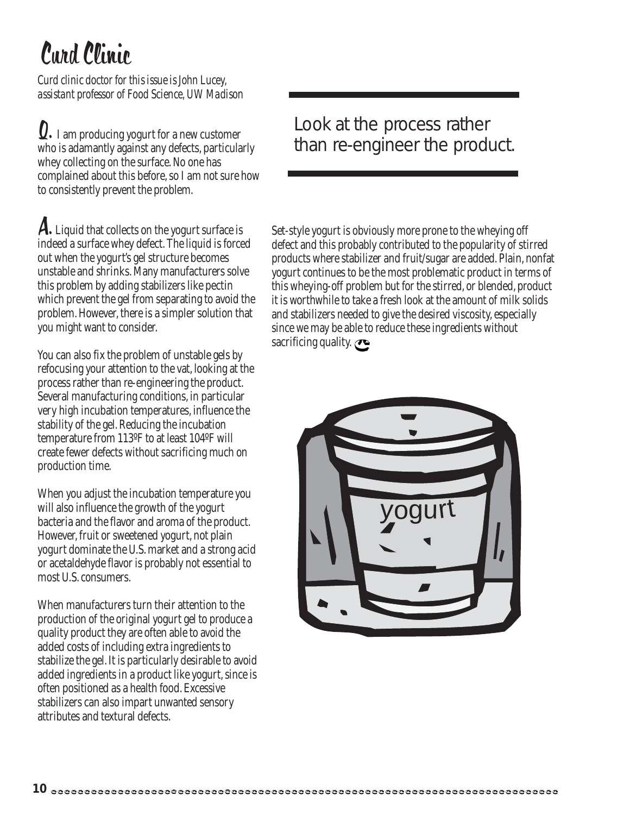# Curd Clinic

*Curd clinic doctor for this issue is John Lucey, assistant professor of Food Science, UW Madison*

Q. I am producing yogurt for a new customer who is adamantly against any defects, particularly whey collecting on the surface. No one has complained about this before, so I am not sure how to consistently prevent the problem.

A. Liquid that collects on the yogurt surface is indeed a surface whey defect. The liquid is forced out when the yogurt's gel structure becomes unstable and shrinks. Many manufacturers solve this problem by adding stabilizers like pectin which prevent the gel from separating to avoid the problem. However, there is a simpler solution that you might want to consider.

You can also fix the problem of unstable gels by refocusing your attention to the vat, looking at the process rather than re-engineering the product. Several manufacturing conditions, in particular very high incubation temperatures, influence the stability of the gel. Reducing the incubation temperature from 113ºF to at least 104ºF will create fewer defects without sacrificing much on production time.

When you adjust the incubation temperature you will also influence the growth of the yogurt bacteria and the flavor and aroma of the product. However, fruit or sweetened yogurt, not plain yogurt dominate the U.S. market and a strong acid or acetaldehyde flavor is probably not essential to most U.S. consumers.

When manufacturers turn their attention to the production of the original yogurt gel to produce a quality product they are often able to avoid the added costs of including extra ingredients to stabilize the gel. It is particularly desirable to avoid added ingredients in a product like yogurt, since is often positioned as a health food. Excessive stabilizers can also impart unwanted sensory attributes and textural defects.

Look at the process rather than re-engineer the product.

Set-style yogurt is obviously more prone to the wheying off defect and this probably contributed to the popularity of stirred products where stabilizer and fruit/sugar are added. Plain, nonfat yogurt continues to be the most problematic product in terms of this wheying-off problem but for the stirred, or blended, product it is worthwhile to take a fresh look at the amount of milk solids and stabilizers needed to give the desired viscosity, especially since we may be able to reduce these ingredients without sacrificing quality.  $\bullet$ 

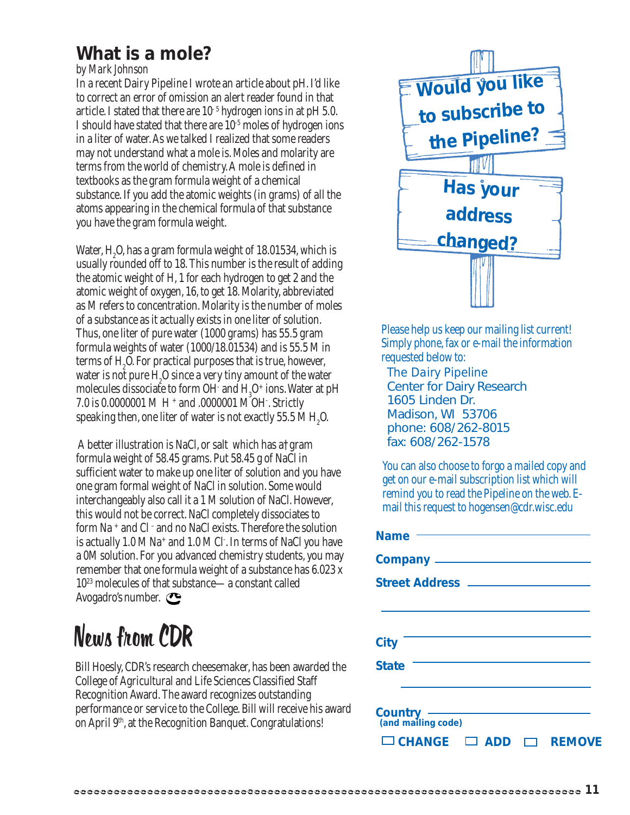### **What is a mole?**

#### *by Mark Johnson*

In a recent Dairy Pipeline I wrote an article about pH. I'd like to correct an error of omission an alert reader found in that article. I stated that there are  $10^{-5}$  hydrogen ions in at pH 5.0. I should have stated that there are 10-5 moles of hydrogen ions in a liter of water. As we talked I realized that some readers may not understand what a mole is. Moles and molarity are terms from the world of chemistry. A mole is defined in textbooks as the gram formula weight of a chemical substance. If you add the atomic weights (in grams) of all the atoms appearing in the chemical formula of that substance you have the gram formula weight.

Water,  $\rm H_{2}O$ , has a gram formula weight of 18.01534, which is usually rounded off to 18. This number is the result of adding the atomic weight of H, 1 for each hydrogen to get 2 and the atomic weight of oxygen, 16, to get 18. Molarity, abbreviated as M refers to concentration. Molarity is the number of moles of a substance as it actually exists in one liter of solution. Thus, one liter of pure water (1000 grams) has 55.5 gram formula weights of water (1000/18.01534) and is 55.5 M in terms of  $\mathrm{H}_{2}\mathrm{O}.$  For practical purposes that is true, however, water is not pure  $H_2O$  since a very tiny amount of the water molecules dissociate to form OH and H<sub>3</sub>O+ ions. Water at pH 7.0 is 0.0000001 MH + and .0000001 M OH- . Strictly speaking then, one liter of water is not exactly 55.5 M  $\rm H_{2}O$ .

A better illustration is NaCl, or salt which has a†gram formula weight of 58.45 grams. Put 58.45 g of NaCl in sufficient water to make up one liter of solution and you have one gram formal weight of NaCl in solution. Some would interchangeably also call it a 1 M solution of NaCl. However, this would not be correct. NaCl completely dissociates to form Na + and Cl – and no NaCl exists. Therefore the solution is actually 1.0 M Na+ and 1.0 M Cl- . In terms of NaCl you have a 0M solution. For you advanced chemistry students, you may remember that one formula weight of a substance has 6.023 x 1023 molecules of that substance—a constant called Avogadro's number.

## News from CDR

Bill Hoesly, CDR's research cheesemaker, has been awarded the College of Agricultural and Life Sciences Classified Staff Recognition Award. The award recognizes outstanding performance or service to the College. Bill will receive his award on April 9th, at the Recognition Banquet. Congratulations!



Please help us keep our mailing list current! Simply phone, fax or e-mail the information requested below to:

*The Dairy Pipeline* Center for Dairy Research 1605 Linden Dr. Madison, WI 53706 phone: 608/262-8015 fax: 608/262-1578

You can also choose to forgo a mailed copy and get on our e-mail subscription list which will remind you to read the Pipeline on the web. Email this request to hogensen@cdr.wisc.edu

| <b>Name</b>                               |
|-------------------------------------------|
|                                           |
|                                           |
|                                           |
|                                           |
| City                                      |
| <b>State</b>                              |
|                                           |
| <b>Country</b><br>(and mailing code)      |
| $\Box$ CHANGE $\Box$ ADD<br><b>REMOVE</b> |